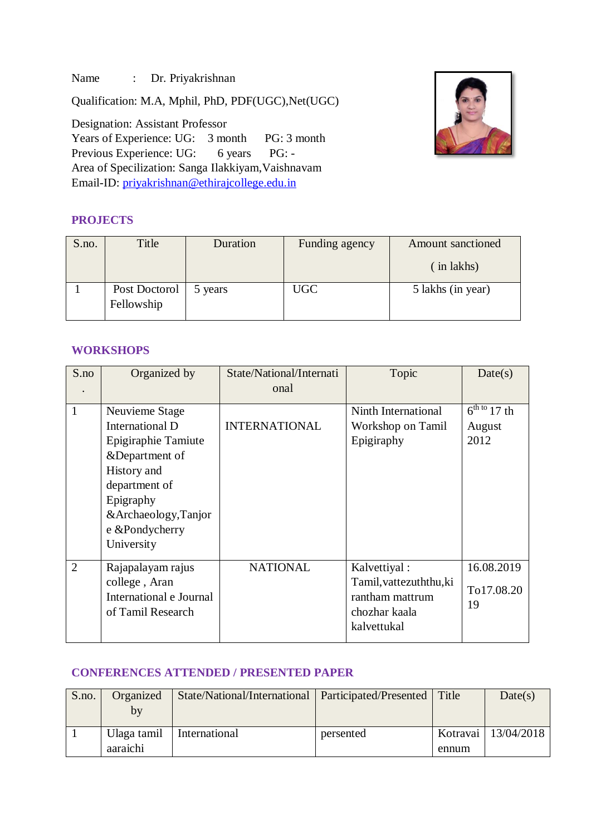Name : Dr. Priyakrishnan

Qualification: M.A, Mphil, PhD, PDF(UGC),Net(UGC)

Designation: Assistant Professor Years of Experience: UG: 3 month PG: 3 month Previous Experience: UG: 6 years PG: -Area of Specilization: Sanga Ilakkiyam,Vaishnavam Email-ID: [priyakrishnan@ethirajcollege.edu.in](mailto:priyakrishnan@ethirajcollege.edu.in)

## **PROJECTS**



| S.no. | Title                       | Duration | Funding agency | Amount sanctioned |
|-------|-----------------------------|----------|----------------|-------------------|
|       |                             |          |                | (in lakhs)        |
|       | Post Doctorol<br>Fellowship | 5 years  | <b>UGC</b>     | 5 lakhs (in year) |

### **WORKSHOPS**

| S.no           | Organized by                                                                                                                                                                   | State/National/Internati<br>onal | Topic                                                                                      | Date(s)                                                   |
|----------------|--------------------------------------------------------------------------------------------------------------------------------------------------------------------------------|----------------------------------|--------------------------------------------------------------------------------------------|-----------------------------------------------------------|
| $\mathbf{1}$   | Neuvieme Stage<br>International D<br>Epigiraphie Tamiute<br>&Department of<br>History and<br>department of<br>Epigraphy<br>&Archaeology,Tanjor<br>e &Pondycherry<br>University | <b>INTERNATIONAL</b>             | Ninth International<br>Workshop on Tamil<br>Epigiraphy                                     | $\frac{6^{\text{th to}} 17}{\text{th}}$<br>August<br>2012 |
| $\overline{2}$ | Rajapalayam rajus<br>college, Aran<br>International e Journal<br>of Tamil Research                                                                                             | <b>NATIONAL</b>                  | Kalvettiyal:<br>Tamil, vattezuththu, ki<br>rantham mattrum<br>chozhar kaala<br>kalvettukal | 16.08.2019<br>To17.08.20<br>19                            |

#### **CONFERENCES ATTENDED / PRESENTED PAPER**

| S.no. | Organized                 | State/National/International | Participated/Presented | Title    | Date(s)    |
|-------|---------------------------|------------------------------|------------------------|----------|------------|
|       | $\mathbf{b}^{\mathbf{v}}$ |                              |                        |          |            |
|       |                           |                              |                        |          |            |
|       | Ulaga tamil               | International                | persented              | Kotravai | 13/04/2018 |
|       | aaraichi                  |                              |                        | ennum    |            |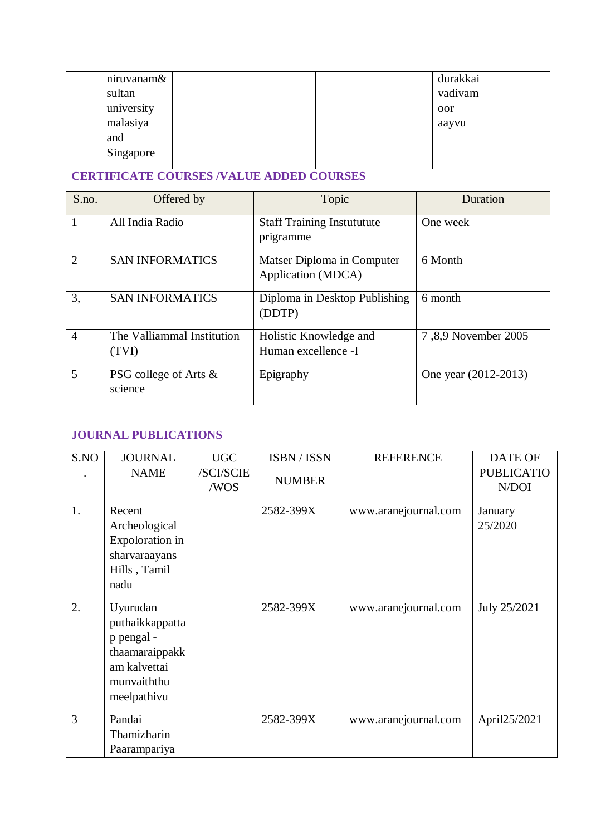| niruvanam& |  | durakkai |  |
|------------|--|----------|--|
| sultan     |  | vadivam  |  |
| university |  | oor      |  |
| malasiya   |  | aayvu    |  |
| and        |  |          |  |
| Singapore  |  |          |  |
|            |  |          |  |

# **CERTIFICATE COURSES /VALUE ADDED COURSES**

| S.no.          | Offered by                          | Topic                                            | Duration             |
|----------------|-------------------------------------|--------------------------------------------------|----------------------|
| 1              | All India Radio                     | <b>Staff Training Instututute</b><br>prigramme   | One week             |
| $\overline{2}$ | <b>SAN INFORMATICS</b>              | Matser Diploma in Computer<br>Application (MDCA) | 6 Month              |
| 3,             | <b>SAN INFORMATICS</b>              | Diploma in Desktop Publishing<br>(DDTP)          | 6 month              |
| $\overline{4}$ | The Valliammal Institution<br>(TVI) | Holistic Knowledge and<br>Human excellence -I    | 7,8,9 November 2005  |
| 5              | PSG college of Arts &<br>science    | Epigraphy                                        | One year (2012-2013) |

# **JOURNAL PUBLICATIONS**

| S.NO | <b>JOURNAL</b>                                                                                            | <b>UGC</b>        | ISBN / ISSN   | <b>REFERENCE</b>     | <b>DATE OF</b>             |
|------|-----------------------------------------------------------------------------------------------------------|-------------------|---------------|----------------------|----------------------------|
|      | <b>NAME</b>                                                                                               | /SCI/SCIE<br>/WOS | <b>NUMBER</b> |                      | <b>PUBLICATIO</b><br>N/DOI |
| 1.   | Recent<br>Archeological<br>Expoloration in<br>sharvaraayans<br>Hills, Tamil<br>nadu                       |                   | 2582-399X     | www.aranejournal.com | January<br>25/2020         |
| 2.   | Uyurudan<br>puthaikkappatta<br>p pengal -<br>thaamaraippakk<br>am kalvettai<br>munvaiththu<br>meelpathivu |                   | 2582-399X     | www.aranejournal.com | July 25/2021               |
| 3    | Pandai<br>Thamizharin<br>Paarampariya                                                                     |                   | 2582-399X     | www.aranejournal.com | April25/2021               |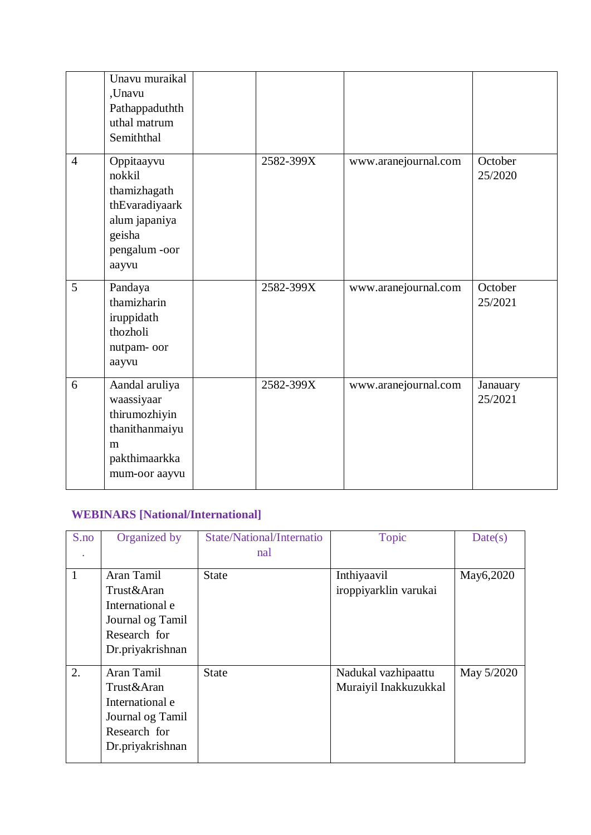|                | Unavu muraikal<br>,Unavu<br>Pathappaduthth<br>uthal matrum<br>Semiththal                                   |           |                      |                     |
|----------------|------------------------------------------------------------------------------------------------------------|-----------|----------------------|---------------------|
| $\overline{4}$ | Oppitaayvu<br>nokkil<br>thamizhagath<br>thEvaradiyaark<br>alum japaniya<br>geisha<br>pengalum-oor<br>aayvu | 2582-399X | www.aranejournal.com | October<br>25/2020  |
| 5              | Pandaya<br>thamizharin<br>iruppidath<br>thozholi<br>nutpam-oor<br>aayvu                                    | 2582-399X | www.aranejournal.com | October<br>25/2021  |
| 6              | Aandal aruliya<br>waassiyaar<br>thirumozhiyin<br>thanithanmaiyu<br>m<br>pakthimaarkka<br>mum-oor aayvu     | 2582-399X | www.aranejournal.com | Janauary<br>25/2021 |

## **WEBINARS [National/International]**

| S.no | Organized by                                                                                        | State/National/Internatio | <b>Topic</b>                                 | Date(s)    |
|------|-----------------------------------------------------------------------------------------------------|---------------------------|----------------------------------------------|------------|
|      |                                                                                                     | nal                       |                                              |            |
| 1    | Aran Tamil<br>Trust&Aran<br>International e<br>Journal og Tamil                                     | <b>State</b>              | Inthiyaavil<br>iroppiyarklin varukai         | May6,2020  |
|      | Research for<br>Dr.priyakrishnan                                                                    |                           |                                              |            |
| 2.   | Aran Tamil<br>Trust&Aran<br>International e<br>Journal og Tamil<br>Research for<br>Dr.priyakrishnan | <b>State</b>              | Nadukal vazhipaattu<br>Muraiyil Inakkuzukkal | May 5/2020 |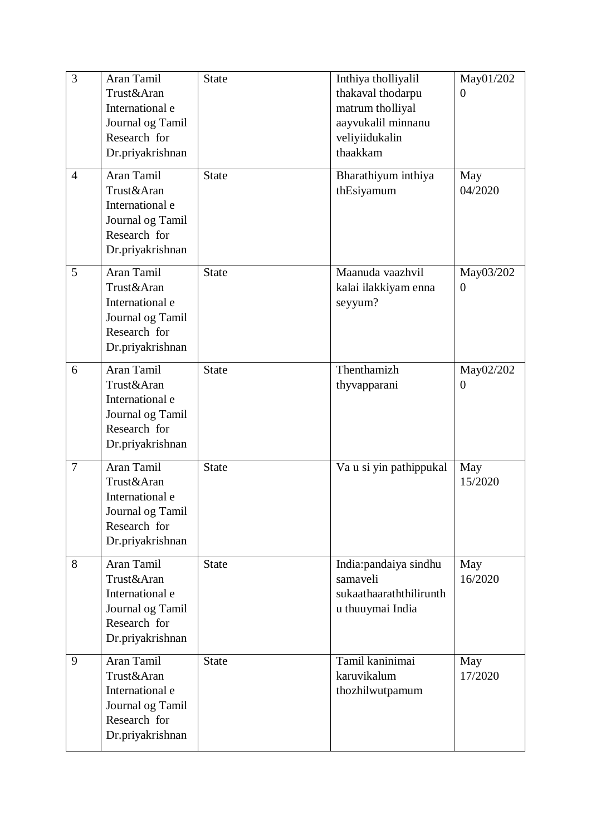| $\overline{3}$ | Aran Tamil<br>Trust&Aran<br>International e<br>Journal og Tamil<br>Research for<br>Dr.priyakrishnan | <b>State</b> | Inthiya tholliyalil<br>thakaval thodarpu<br>matrum tholliyal<br>aayvukalil minnanu<br>veliyiidukalin<br>thaakkam | May01/202<br>$\overline{0}$ |
|----------------|-----------------------------------------------------------------------------------------------------|--------------|------------------------------------------------------------------------------------------------------------------|-----------------------------|
| $\overline{4}$ | Aran Tamil<br>Trust&Aran<br>International e<br>Journal og Tamil<br>Research for<br>Dr.priyakrishnan | <b>State</b> | Bharathiyum inthiya<br>thEsiyamum                                                                                | May<br>04/2020              |
| 5              | Aran Tamil<br>Trust&Aran<br>International e<br>Journal og Tamil<br>Research for<br>Dr.priyakrishnan | <b>State</b> | Maanuda vaazhvil<br>kalai ilakkiyam enna<br>seyyum?                                                              | May03/202<br>$\overline{0}$ |
| 6              | Aran Tamil<br>Trust&Aran<br>International e<br>Journal og Tamil<br>Research for<br>Dr.priyakrishnan | <b>State</b> | Thenthamizh<br>thyvapparani                                                                                      | May02/202<br>$\overline{0}$ |
| $\overline{7}$ | Aran Tamil<br>Trust&Aran<br>International e<br>Journal og Tamil<br>Research for<br>Dr.priyakrishnan | <b>State</b> | Va u si yin pathippukal                                                                                          | May<br>15/2020              |
| 8              | Aran Tamil<br>Trust&Aran<br>International e<br>Journal og Tamil<br>Research for<br>Dr.priyakrishnan | <b>State</b> | India: pandaiya sindhu<br>samaveli<br>sukaathaaraththilirunth<br>u thuuymai India                                | May<br>16/2020              |
| 9              | Aran Tamil<br>Trust&Aran<br>International e<br>Journal og Tamil<br>Research for<br>Dr.priyakrishnan | <b>State</b> | Tamil kaninimai<br>karuvikalum<br>thozhilwutpamum                                                                | May<br>17/2020              |